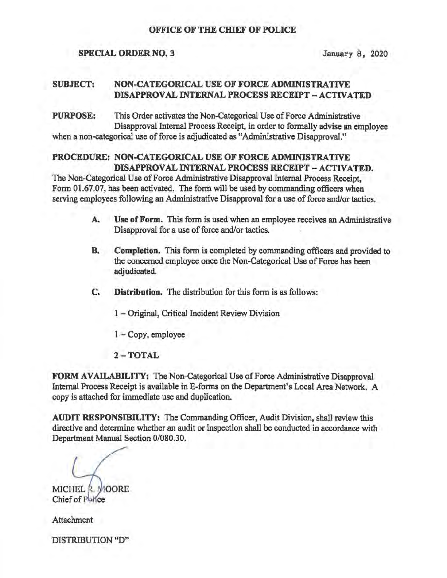### OFFICE OF THE CHIEF OF POLICE

#### SPECIAL ORDER NO. 3 January 8, 2020

## SUBJECT: NON-CATEGORICAL USE OF FORCE ADMINISTRATIVE DISAPPROVAL INTERNAL PROCESS RECEIPT - ACTIVATED

PURPOSE: This Order activates the Non-Categorical Use of Force Administrative Disapproval Internal Process Receipt, in order to formally advise an employee when a non-categorical use of force is adjudicated as "Administrative Disapproval."

## PROCEDURE: NON-CATEGORICAL USE OF FORCE ADMINISTRATIVE DISAPPROVAL INTERNAL PROCESS RECEIPT - ACTIVATED.

The Non-Categorical Use of Force Administrative Disapproval Internal Process Receipt. Form 01.67.07, has been activated. The form will be used by commanding officers when serving employees following an Administrative Disapproval for a use of force and/or tactics.

- A. Use of Form. This form is used when an employee receives an Administrative Disapproval for a use of force and/or tactics.
- B. Completion. This form is completed by,commanding officers and provided to the concerned employee once the Non-Categorical Use of Force has been adjudicated.
- C. Distribution. The distribution for this form is as follows:
	- 1 Original, Critical Incident Review Division
	- 1- Copy, employee
	- $2 TOTAL$

FORM AVAILABILITY: The Non-Categorical Use of Force Administrative Disapproval Internal Process Receipt is available in E-forms on the Department's Local Area Network. A copy is attached for immediate use and duplication.

AUDIT RESPONSIBILITY: The Commanding Officer, Audit Division, shall review this directive and determine whether an audit or inspection shall be conducted in accordance with Department Manual Section 0/080.30.

MICHEL R MOORE

Chief of Police

Attachment

DISTRIBUTION "D"